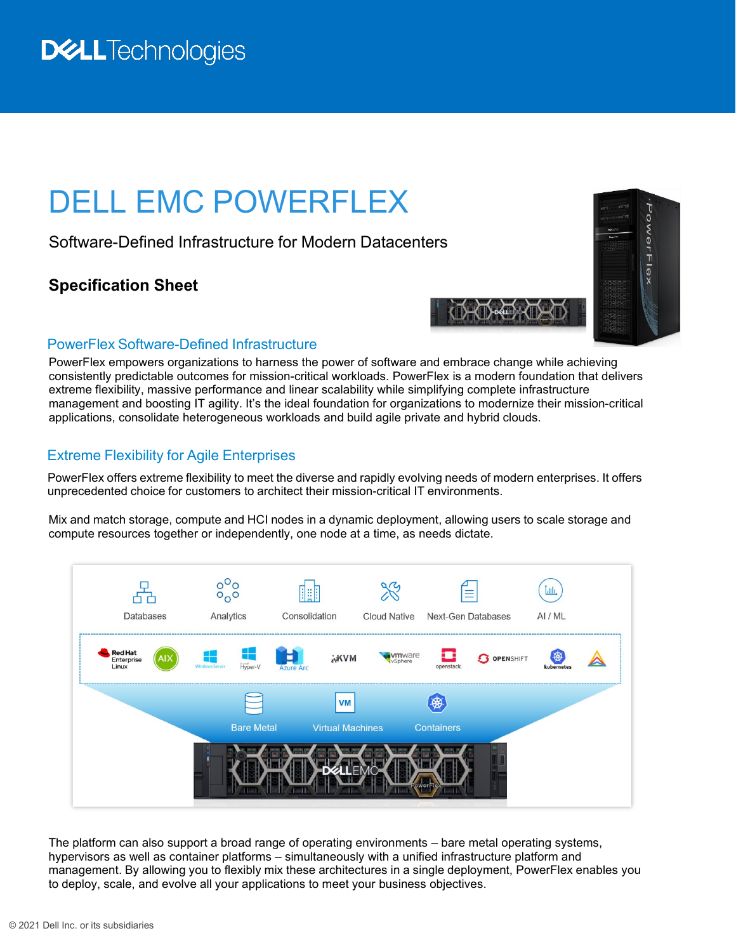# DELL EMC POWERFLEX

Software-Defined Infrastructure for Modern Datacenters

## **Specification Sheet**



#### PowerFlex Software-Defined Infrastructure

PowerFlex empowers organizations to harness the power of software and embrace change while achieving consistently predictable outcomes for mission-critical workloads. PowerFlex is a modern foundation that delivers extreme flexibility, massive performance and linear scalability while simplifying complete infrastructure management and boosting IT agility. It's the ideal foundation for organizations to modernize their mission-critical applications, consolidate heterogeneous workloads and build agile private and hybrid clouds.

### Extreme Flexibility for Agile Enterprises

PowerFlex offers extreme flexibility to meet the diverse and rapidly evolving needs of modern enterprises. It offers unprecedented choice for customers to architect their mission-critical IT environments.

Mix and match storage, compute and HCI nodes in a dynamic deployment, allowing users to scale storage and compute resources together or independently, one node at a time, as needs dictate.



The platform can also support a broad range of operating environments – bare metal operating systems, hypervisors as well as container platforms – simultaneously with a unified infrastructure platform and management. By allowing you to flexibly mix these architectures in a single deployment, PowerFlex enables you to deploy, scale, and evolve all your applications to meet your business objectives.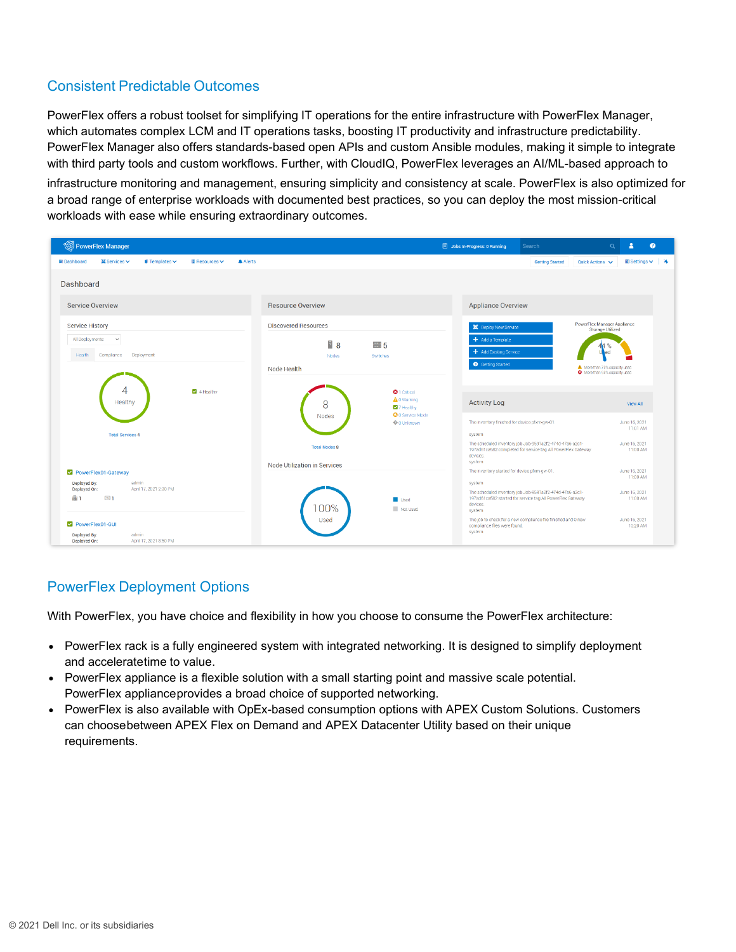#### Consistent Predictable Outcomes

PowerFlex offers a robust toolset for simplifying IT operations for the entire infrastructure with PowerFlex Manager, which automates complex LCM and IT operations tasks, boosting IT productivity and infrastructure predictability. PowerFlex Manager also offers standards-based open APIs and custom Ansible modules, making it simple to integrate with third party tools and custom workflows. Further, with CloudIQ, PowerFlex leverages an AI/ML-based approach to

infrastructure monitoring and management, ensuring simplicity and consistency at scale. PowerFlex is also optimized for a broad range of enterprise workloads with documented best practices, so you can deploy the most mission-critical workloads with ease while ensuring extraordinary outcomes.

|                                                     | <sup>۞</sup> PowerFlex Manager             |                                   |                          |          |                                                                                    |                                                      | Jobs In-Progress: 0 Running                                                                                                                                                                              | Search                 | $\alpha$                                                                                                                 |                                                        | $\bullet$                 |  |
|-----------------------------------------------------|--------------------------------------------|-----------------------------------|--------------------------|----------|------------------------------------------------------------------------------------|------------------------------------------------------|----------------------------------------------------------------------------------------------------------------------------------------------------------------------------------------------------------|------------------------|--------------------------------------------------------------------------------------------------------------------------|--------------------------------------------------------|---------------------------|--|
| <b>Ei</b> Dashboard                                 | 蒽 Services ↓                               | $\blacksquare$ Templates $\smile$ | <b>III Resources ∨</b>   | A Alerts |                                                                                    |                                                      |                                                                                                                                                                                                          | <b>Getting Started</b> | Quick Actions V                                                                                                          |                                                        | <b>III</b> Settings v   ¥ |  |
| Dashboard                                           |                                            |                                   |                          |          |                                                                                    |                                                      |                                                                                                                                                                                                          |                        |                                                                                                                          |                                                        |                           |  |
| <b>Service Overview</b>                             |                                            |                                   |                          |          | <b>Resource Overview</b>                                                           |                                                      | <b>Appliance Overview</b>                                                                                                                                                                                |                        |                                                                                                                          |                                                        |                           |  |
| <b>Service History</b><br>All Deployments<br>Health | $\checkmark$<br>Compliance<br>4<br>Healthy | Deployment                        | $\blacksquare$ 4 Healthy |          | <b>Discovered Resources</b><br>$\frac{1}{2}$ 8<br><b>Nodes</b><br>Node Health<br>8 | ■5<br>Switches<br><b>3</b> 1 Critical<br>A 0 Warning | Deploy New Service<br>+ Add a Template<br>+ Add Existing Service<br><b>O</b> Getting Started<br><b>Activity Log</b>                                                                                      |                        | PowerFlex Manager Appliance<br><b>Storage Utilized</b><br>A More than 75% capacity used<br>O More than 95% capacity used | View All                                               |                           |  |
|                                                     | <b>Total Services 4</b>                    |                                   |                          |          | Nodes<br><b>Total Nodes 8</b><br>Node Utilization in Services                      | 7 Healthy<br><b>Q</b> 0 Service Mode<br>© 0 Unknown  | The inventory finished for device pfxm-gw-01<br>system<br>The scheduled inventory job Job-9597a2f2-474d-47a6-a2c1-<br>197ad61ca582 completed for service tag All PowerFlex Gateway<br>devices.<br>system |                        |                                                                                                                          | June 16, 2021<br>11:01 AM<br>June 16, 2021<br>11:00 AM |                           |  |
| Deployed By:<br>Deployed On:                        | PowerFlex01-Gateway                        | admin<br>April 17, 2021 2:30 PM   |                          |          |                                                                                    |                                                      | The inventory started for device pfxm-gw-01.<br>system                                                                                                                                                   |                        |                                                                                                                          | June 16, 2021<br>11:00 AM                              |                           |  |
| fii 1                                               | $\boxed{3}$                                |                                   |                          |          | 00%                                                                                | <b>Used</b><br>Not Used                              | The scheduled inventory job Job-9597a2f2-474d-47a6-a2c1-<br>197ad61ca582 started for service tag All PowerFlex Gateway<br>devices.<br>system                                                             |                        |                                                                                                                          | June 16, 2021<br>11:00 AM                              |                           |  |
| PowerFlex01-GUI<br>Deployed By:<br>Deployed On:     |                                            | admin<br>April 17, 2021 8:50 PM   |                          |          | Used                                                                               |                                                      | The job to check for a new compliance file finished and 0 new<br>compliance files were found.<br>system                                                                                                  |                        |                                                                                                                          | June 16, 2021<br>10:20 AM                              |                           |  |

### PowerFlex Deployment Options

With PowerFlex, you have choice and flexibility in how you choose to consume the PowerFlex architecture:

- PowerFlex rack is a fully engineered system with integrated networking. It is designed to simplify deployment and acceleratetime to value.
- PowerFlex appliance is a flexible solution with a small starting point and massive scale potential. PowerFlex applianceprovides a broad choice of supported networking.
- PowerFlex is also available with OpEx-based consumption options with APEX Custom Solutions. Customers can choosebetween APEX Flex on Demand and APEX Datacenter Utility based on their unique requirements.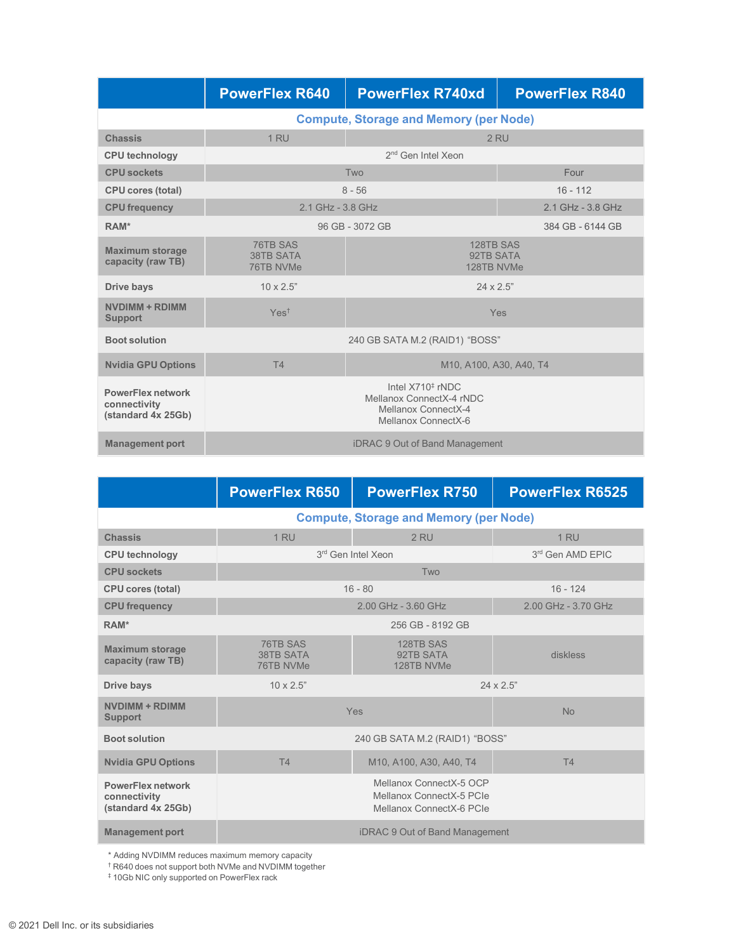|                                                                | <b>PowerFlex R640</b>                                                                                  | <b>PowerFlex R740xd</b>        | <b>PowerFlex R840</b> |  |  |
|----------------------------------------------------------------|--------------------------------------------------------------------------------------------------------|--------------------------------|-----------------------|--|--|
|                                                                | <b>Compute, Storage and Memory (per Node)</b>                                                          |                                |                       |  |  |
| <b>Chassis</b>                                                 | $1$ RU                                                                                                 | 2 RU                           |                       |  |  |
| <b>CPU technology</b>                                          |                                                                                                        | 2 <sup>nd</sup> Gen Intel Xeon |                       |  |  |
| <b>CPU</b> sockets                                             |                                                                                                        | Two                            | Four                  |  |  |
| <b>CPU cores (total)</b>                                       |                                                                                                        | $8 - 56$                       | $16 - 112$            |  |  |
| <b>CPU frequency</b>                                           | 2.1 GHz - 3.8 GHz                                                                                      |                                | 2.1 GHz - 3.8 GHz     |  |  |
| RAM*                                                           |                                                                                                        | 96 GB - 3072 GB                | 384 GB - 6144 GB      |  |  |
| <b>Maximum storage</b><br>capacity (raw TB)                    | 76TB SAS<br>128TB SAS<br><b>38TB SATA</b><br>92TB SATA<br>76TB NVMe<br>128TB NVMe                      |                                |                       |  |  |
| Drive bays                                                     | $10 \times 2.5"$<br>$24 \times 2.5"$                                                                   |                                |                       |  |  |
| NVDIMM + RDIMM<br><b>Support</b>                               | Yes <sup>†</sup><br>Yes                                                                                |                                |                       |  |  |
| <b>Boot solution</b>                                           |                                                                                                        | 240 GB SATA M.2 (RAID1) "BOSS" |                       |  |  |
| <b>Nvidia GPU Options</b>                                      | T4<br>M <sub>10</sub> , A <sub>100</sub> , A <sub>30</sub> , A <sub>40</sub> , T <sub>4</sub>          |                                |                       |  |  |
| <b>PowerFlex network</b><br>connectivity<br>(standard 4x 25Gb) | Intel $X710^{\ddagger}$ rNDC<br>Mellanox ConnectX-4 rNDC<br>Mellanox ConnectX-4<br>Mellanox ConnectX-6 |                                |                       |  |  |
| <b>Management port</b>                                         | <b>iDRAC 9 Out of Band Management</b>                                                                  |                                |                       |  |  |

|                                                         | <b>PowerFlex R650</b>                         | <b>PowerFlex R750</b>                 | <b>PowerFlex R6525</b> |
|---------------------------------------------------------|-----------------------------------------------|---------------------------------------|------------------------|
|                                                         | <b>Compute, Storage and Memory (per Node)</b> |                                       |                        |
| <b>Chassis</b>                                          | 1 <sub>RU</sub>                               | 2 RU                                  | 1 RU                   |
| <b>CPU technology</b>                                   |                                               | 3rd Gen Intel Xeon                    | 3rd Gen AMD EPIC       |
| <b>CPU</b> sockets                                      |                                               | Two                                   |                        |
| <b>CPU cores (total)</b>                                |                                               | $16 - 80$                             | $16 - 124$             |
| <b>CPU</b> frequency                                    | 2.00 GHz - 3.60 GHz                           |                                       | 2.00 GHz - 3.70 GHz    |
| RAM*                                                    |                                               |                                       |                        |
| <b>Maximum storage</b><br>capacity (raw TB)             | 76TB SAS<br><b>38TB SATA</b><br>76TB NVMe     | 128TB SAS<br>92TB SATA<br>128TB NVMe  | diskless               |
| Drive bays                                              | $10 \times 2.5$ "                             |                                       | $24 \times 2.5"$       |
| NVDIMM + RDIMM<br><b>Support</b>                        | <b>Yes</b>                                    |                                       | No                     |
| <b>Boot solution</b>                                    |                                               | 240 GB SATA M.2 (RAID1) "BOSS"        |                        |
| <b>Nvidia GPU Options</b>                               | T <sub>4</sub>                                | M10, A100, A30, A40, T4               | T <sub>4</sub>         |
| PowerFlex network<br>connectivity<br>(standard 4x 25Gb) |                                               |                                       |                        |
| <b>Management port</b>                                  |                                               | <b>iDRAC 9 Out of Band Management</b> |                        |

\* Adding NVDIMM reduces maximum memory capacity

† R640 does not support both NVMe and NVDIMM together

‡ 10Gb NIC only supported on PowerFlex rack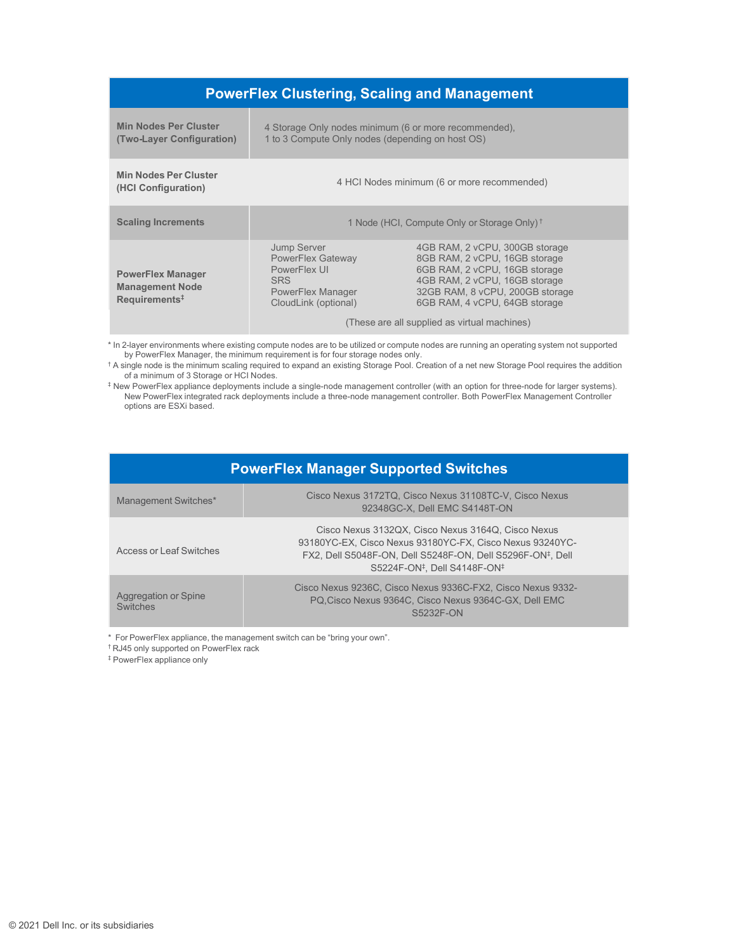| <b>PowerFlex Clustering, Scaling and Management</b>                             |                                                                                                                           |                                                                                                                                                                                                                                                       |  |  |  |  |
|---------------------------------------------------------------------------------|---------------------------------------------------------------------------------------------------------------------------|-------------------------------------------------------------------------------------------------------------------------------------------------------------------------------------------------------------------------------------------------------|--|--|--|--|
| <b>Min Nodes Per Cluster</b><br>(Two-Layer Configuration)                       |                                                                                                                           | 4 Storage Only nodes minimum (6 or more recommended),<br>1 to 3 Compute Only nodes (depending on host OS)                                                                                                                                             |  |  |  |  |
| <b>Min Nodes Per Cluster</b><br>(HCI Configuration)                             | 4 HCI Nodes minimum (6 or more recommended)                                                                               |                                                                                                                                                                                                                                                       |  |  |  |  |
| <b>Scaling Increments</b>                                                       | 1 Node (HCI, Compute Only or Storage Only) <sup>†</sup>                                                                   |                                                                                                                                                                                                                                                       |  |  |  |  |
| <b>PowerFlex Manager</b><br><b>Management Node</b><br>Requirements <sup>#</sup> | <b>Jump Server</b><br><b>PowerFlex Gateway</b><br>PowerFlex UI<br><b>SRS</b><br>PowerFlex Manager<br>CloudLink (optional) | 4GB RAM, 2 vCPU, 300GB storage<br>8GB RAM, 2 vCPU, 16GB storage<br>6GB RAM, 2 vCPU, 16GB storage<br>4GB RAM. 2 vCPU. 16GB storage<br>32GB RAM, 8 vCPU, 200GB storage<br>6GB RAM, 4 vCPU, 64GB storage<br>(These are all supplied as virtual machines) |  |  |  |  |

\* In 2-layer environments where existing compute nodes are to be utilized or compute nodes are running an operating system not supported by PowerFlex Manager, the minimum requirement is for four storage nodes only.

 $^\dagger$  A single node is the minimum scaling required to expand an existing Storage Pool. Creation of a net new Storage Pool requires the addition of a minimum of 3 Storage or HCI Nodes.

‡ New PowerFlex appliance deployments include a single-node management controller (with an option for three-node for larger systems). New PowerFlex integrated rack deployments include a three-node management controller. Both PowerFlex Management Controller options are ESXi based.

| <b>PowerFlex Manager Supported Switches</b> |                                                                                                                                                                                                                                                   |  |  |  |  |
|---------------------------------------------|---------------------------------------------------------------------------------------------------------------------------------------------------------------------------------------------------------------------------------------------------|--|--|--|--|
| Management Switches*                        | Cisco Nexus 3172TQ. Cisco Nexus 31108TC-V. Cisco Nexus<br>92348GC-X, Dell EMC S4148T-ON                                                                                                                                                           |  |  |  |  |
| Access or Leaf Switches                     | Cisco Nexus 3132QX, Cisco Nexus 3164Q, Cisco Nexus<br>93180YC-EX, Cisco Nexus 93180YC-FX, Cisco Nexus 93240YC-<br>FX2, Dell S5048F-ON, Dell S5248F-ON, Dell S5296F-ON <sup>‡</sup> , Dell<br>S5224F-ON <sup>‡</sup> , Dell S4148F-ON <sup>‡</sup> |  |  |  |  |
| Aggregation or Spine<br><b>Switches</b>     | Cisco Nexus 9236C. Cisco Nexus 9336C-FX2. Cisco Nexus 9332-<br>PQ, Cisco Nexus 9364C, Cisco Nexus 9364C-GX, Dell EMC<br>S5232F-ON                                                                                                                 |  |  |  |  |

\* For PowerFlex appliance, the management switch can be "bring your own".

† RJ45 only supported on PowerFlex rack

‡ PowerFlex appliance only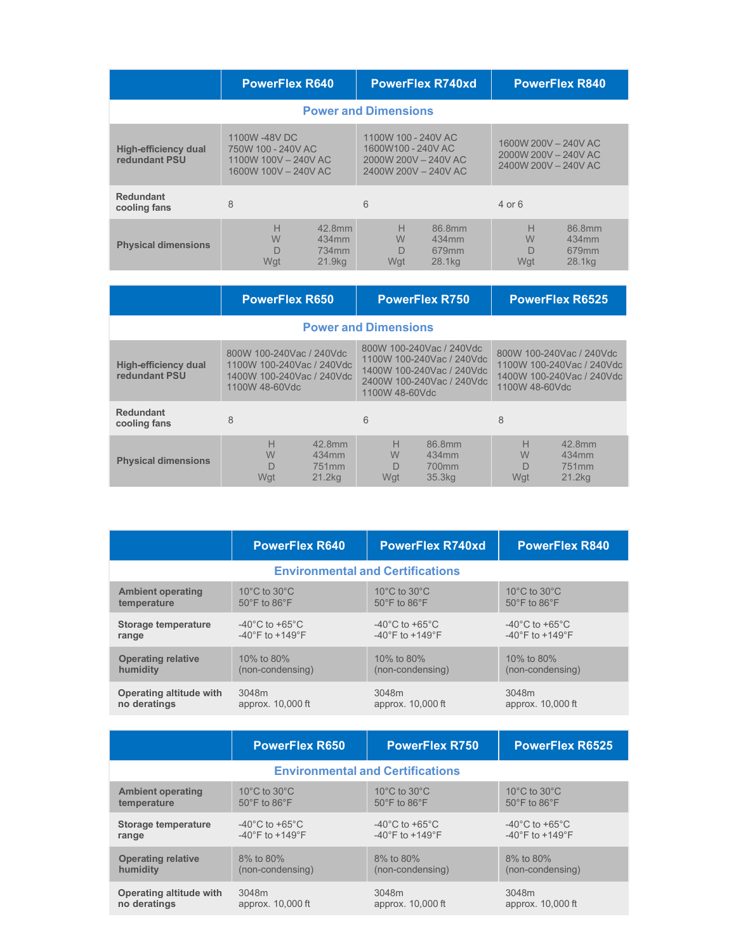|                                       | <b>PowerFlex R640</b>                                                               |                                                               | <b>PowerFlex R740xd</b>                                                                   |                                                                      | <b>PowerFlex R840</b>                          |  |
|---------------------------------------|-------------------------------------------------------------------------------------|---------------------------------------------------------------|-------------------------------------------------------------------------------------------|----------------------------------------------------------------------|------------------------------------------------|--|
|                                       | <b>Power and Dimensions</b>                                                         |                                                               |                                                                                           |                                                                      |                                                |  |
| High-efficiency dual<br>redundant PSU | 1100W -48V DC<br>750W 100 - 240V AC<br>1100W 100V - 240V AC<br>1600W 100V - 240V AC |                                                               | 1100W 100 - 240V AC<br>1600W100 - 240V AC<br>2000W 200V - 240V AC<br>2400W 200V - 240V AC | 1600W 200V - 240V AC<br>2000W 200V - 240V AC<br>2400W 200V - 240V AC |                                                |  |
| <b>Redundant</b><br>cooling fans      | 8                                                                                   | 6                                                             |                                                                                           | $4$ or 6                                                             |                                                |  |
| <b>Physical dimensions</b>            | H<br>W<br>D<br>Wgt                                                                  | H<br>42 8mm<br>W<br>434mm<br>734mm<br>$\Box$<br>21.9kg<br>Wgt | 86.8mm<br>434mm<br>679mm<br>28.1kg                                                        | Н<br>W<br>D<br>Wgt                                                   | 86.8mm<br>434mm<br>679 <sub>mm</sub><br>28.1kg |  |

|                                              | <b>PowerFlex R650</b>                                                                                |   | <b>PowerFlex R750</b>   |                                                                                                                 |                                                                                                      | <b>PowerFlex R6525</b>                                     |  |
|----------------------------------------------|------------------------------------------------------------------------------------------------------|---|-------------------------|-----------------------------------------------------------------------------------------------------------------|------------------------------------------------------------------------------------------------------|------------------------------------------------------------|--|
|                                              | <b>Power and Dimensions</b>                                                                          |   |                         |                                                                                                                 |                                                                                                      |                                                            |  |
| <b>High-efficiency dual</b><br>redundant PSU | 800W 100-240Vac / 240Vdc<br>1100W 100-240Vac / 240Vdc<br>1400W 100-240Vac / 240Vdc<br>1100W 48-60Vdc |   | 1100W 48-60Vdc          | 800W 100-240Vac / 240Vdc<br>1100W 100-240Vac / 240Vdc<br>1400W 100-240Vac / 240Vdc<br>2400W 100-240Vac / 240Vdc | 800W 100-240Vac / 240Vdc<br>1100W 100-240Vac / 240Vdc<br>1400W 100-240Vac / 240Vdc<br>1100W 48-60Vdc |                                                            |  |
| Redundant<br>cooling fans                    | 8                                                                                                    | 6 |                         |                                                                                                                 | 8                                                                                                    |                                                            |  |
| <b>Physical dimensions</b>                   | Н<br>42 8mm<br>W<br>434mm<br>D<br>751 <sub>mm</sub><br>Wgt<br>21.2 <sub>kq</sub>                     |   | Н<br>W<br>$\Box$<br>Wgt | 86.8mm<br>434mm<br>700mm<br>35.3kg                                                                              | Н<br>W<br>D<br>Wgt                                                                                   | 42 8mm<br>434mm<br>751 <sub>mm</sub><br>21.2 <sub>kq</sub> |  |

|                           | <b>PowerFlex R640</b>               | <b>PowerFlex R740xd</b>                 | <b>PowerFlex R840</b>               |
|---------------------------|-------------------------------------|-----------------------------------------|-------------------------------------|
|                           |                                     | <b>Environmental and Certifications</b> |                                     |
| <b>Ambient operating</b>  | 10 $^{\circ}$ C to 30 $^{\circ}$ C  | $10^{\circ}$ C to $30^{\circ}$ C        | 10 $^{\circ}$ C to 30 $^{\circ}$ C  |
| temperature               | $50^{\circ}$ F to $86^{\circ}$ F    | $50^{\circ}$ F to $86^{\circ}$ F        | $50^{\circ}$ F to $86^{\circ}$ F    |
| Storage temperature       | $-40^{\circ}$ C to $+65^{\circ}$ C  | $-40^{\circ}$ C to $+65^{\circ}$ C      | $-40^{\circ}$ C to $+65^{\circ}$ C  |
| range                     | $-40^{\circ}$ F to $+149^{\circ}$ F | $-40^{\circ}$ F to $+149^{\circ}$ F     | $-40^{\circ}$ F to $+149^{\circ}$ F |
| <b>Operating relative</b> | 10% to 80%                          | 10% to 80%                              | 10% to 80%                          |
| humidity                  | (non-condensing)                    | (non-condensing)                        | (non-condensing)                    |
| Operating altitude with   | 3048m                               | 3048m                                   | 3048m                               |
| no deratings              | approx. 10,000 ft                   | approx. 10,000 ft                       | approx. 10,000 ft                   |

|                           | <b>PowerFlex R650</b>               | <b>PowerFlex R750</b>                   | <b>PowerFlex R6525</b>              |
|---------------------------|-------------------------------------|-----------------------------------------|-------------------------------------|
|                           |                                     | <b>Environmental and Certifications</b> |                                     |
| <b>Ambient operating</b>  | 10 $^{\circ}$ C to 30 $^{\circ}$ C  | $10^{\circ}$ C to $30^{\circ}$ C        | 10 $^{\circ}$ C to 30 $^{\circ}$ C  |
| temperature               | $50^{\circ}$ F to $86^{\circ}$ F    | $50^{\circ}$ F to $86^{\circ}$ F        | $50^{\circ}$ F to $86^{\circ}$ F    |
| Storage temperature       | $-40^{\circ}$ C to $+65^{\circ}$ C  | $-40^{\circ}$ C to $+65^{\circ}$ C      | $-40^{\circ}$ C to $+65^{\circ}$ C  |
| range                     | $-40^{\circ}$ F to $+149^{\circ}$ F | $-40^{\circ}$ F to $+149^{\circ}$ F     | $-40^{\circ}$ F to $+149^{\circ}$ F |
| <b>Operating relative</b> | 8% to 80%                           | 8% to 80%                               | 8% to 80%                           |
| humidity                  | (non-condensing)                    | (non-condensing)                        | (non-condensing)                    |
| Operating altitude with   | 3048m                               | 3048m                                   | 3048m                               |
| no deratings              | approx. 10,000 ft                   | approx. 10,000 ft                       | approx. 10,000 ft                   |